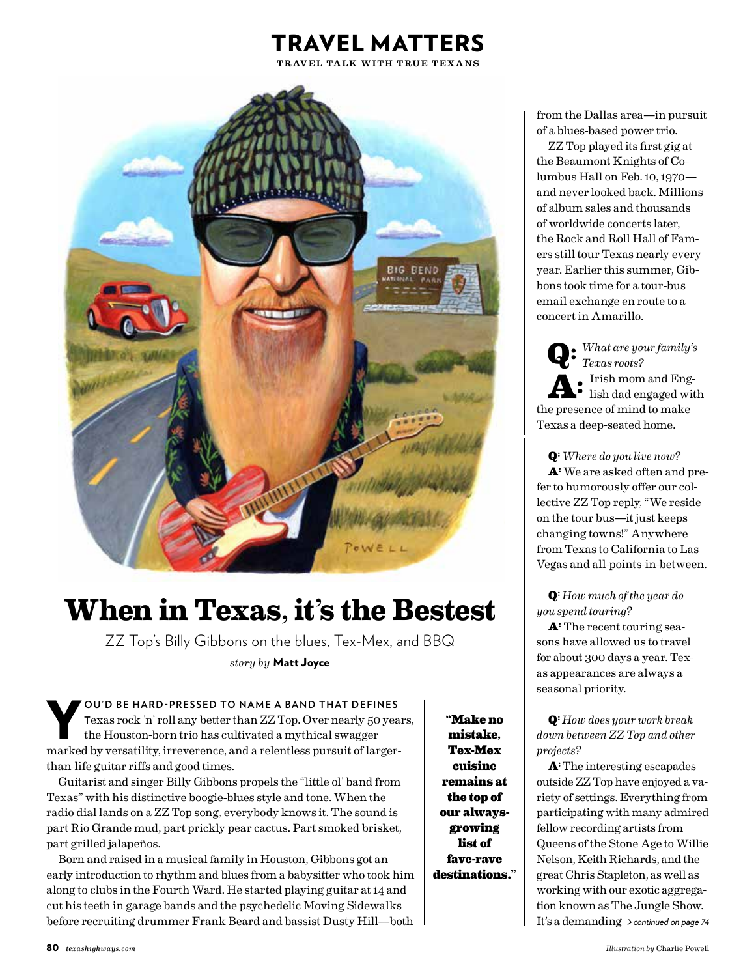## TRAVEL MATTERS

TRAVEL TALK WITH TRUE TEXANS



## **When in Texas, it's the Bestest**

ZZ Top's Billy Gibbons on the blues, Tex-Mex, and BBQ *story by* Matt Joyce

**VOU'D BE HARD-PRESSED TO NAME A BAND THAT DEFINES**<br>Texas rock 'n' roll any better than ZZ Top. Over nearly 50 year<br>the Houston-born trio has cultivated a mythical swagger<br>marked by versetility impovements and a relatiller **T**exas rock 'n' roll any better than ZZ Top. Over nearly 50 years, the Houston-born trio has cultivated a mythical swagger marked by versatility, irreverence, and a relentless pursuit of largerthan-life guitar riffs and good times.

Guitarist and singer Billy Gibbons propels the "little ol' band from Texas" with his distinctive boogie-blues style and tone. When the radio dial lands on a ZZ Top song, everybody knows it. The sound is part Rio Grande mud, part prickly pear cactus. Part smoked brisket, part grilled jalapeños.

Born and raised in a musical family in Houston, Gibbons got an early introduction to rhythm and blues from a babysitter who took him along to clubs in the Fourth Ward. He started playing guitar at 14 and cut his teeth in garage bands and the psychedelic Moving Sidewalks before recruiting drummer Frank Beard and bassist Dusty Hill—both

**"Make no mistake, Tex-Mex cuisine remains at the top of our alwaysgrowing list of fave-rave destinations."** from the Dallas area—in pursuit of a blues-based power trio.

ZZ Top played its first gig at the Beaumont Knights of Columbus Hall on Feb. 10, 1970 and never looked back. Millions of album sales and thousands of worldwide concerts later, the Rock and Roll Hall of Famers still tour Texas nearly every year. Earlier this summer, Gibbons took time for a tour-bus email exchange en route to a concert in Amarillo.

**Q:** *What are your family's Texas roots?* **A:** Irish mom and English dad engaged with the presence of mind to make Texas a deep-seated home.

**Q:** *Where do you live now?* **A:** We are asked often and prefer to humorously offer our collective ZZ Top reply, "We reside on the tour bus—it just keeps changing towns!" Anywhere from Texas to California to Las Vegas and all-points-in-between.

**Q:***How much of the year do you spend touring?*

**A:** The recent touring seasons have allowed us to travel for about 300 days a year. Texas appearances are always a seasonal priority.

**Q:***How does your work break down between ZZ Top and other projects?*

**A:** The interesting escapades outside ZZ Top have enjoyed a variety of settings. Everything from participating with many admired fellow recording artists from Queens of the Stone Age to Willie Nelson, Keith Richards, and the great Chris Stapleton, as well as working with our exotic aggregation known as The Jungle Show. It's a demanding *> continued on page 74*